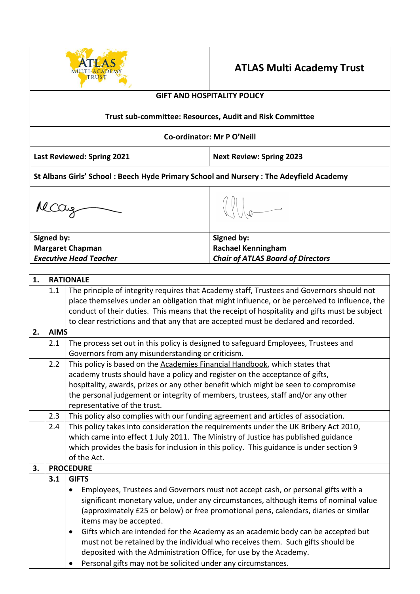

# **ATLAS Multi Academy Trust**

# **GIFT AND HOSPITALITY POLICY**

#### **Trust sub-committee: Resources, Audit and Risk Committee**

#### **Co-ordinator: Mr P O'Neill**

**Last Reviewed: Spring 2021 Next Review: Spring 2023**

**St Albans Girls' School : Beech Hyde Primary School and Nursery : The Adeyfield Academy**

Mccay

**Signed by: Margaret Chapman**  *Executive Head Teacher*

**Signed by: Rachael Kenningham**  *Chair of ATLAS Board of Directors*

| 1. |             | <b>RATIONALE</b>                                                                              |  |  |
|----|-------------|-----------------------------------------------------------------------------------------------|--|--|
|    | 1.1         | The principle of integrity requires that Academy staff, Trustees and Governors should not     |  |  |
|    |             | place themselves under an obligation that might influence, or be perceived to influence, the  |  |  |
|    |             | conduct of their duties. This means that the receipt of hospitality and gifts must be subject |  |  |
|    |             | to clear restrictions and that any that are accepted must be declared and recorded.           |  |  |
| 2. | <b>AIMS</b> |                                                                                               |  |  |
|    | 2.1         | The process set out in this policy is designed to safeguard Employees, Trustees and           |  |  |
|    |             | Governors from any misunderstanding or criticism.                                             |  |  |
|    | 2.2         | This policy is based on the Academies Financial Handbook, which states that                   |  |  |
|    |             | academy trusts should have a policy and register on the acceptance of gifts,                  |  |  |
|    |             | hospitality, awards, prizes or any other benefit which might be seen to compromise            |  |  |
|    |             | the personal judgement or integrity of members, trustees, staff and/or any other              |  |  |
|    |             | representative of the trust.                                                                  |  |  |
|    | 2.3         | This policy also complies with our funding agreement and articles of association.             |  |  |
|    | 2.4         | This policy takes into consideration the requirements under the UK Bribery Act 2010,          |  |  |
|    |             | which came into effect 1 July 2011. The Ministry of Justice has published guidance            |  |  |
|    |             | which provides the basis for inclusion in this policy. This guidance is under section 9       |  |  |
|    |             | of the Act.                                                                                   |  |  |
| 3. |             | <b>PROCEDURE</b>                                                                              |  |  |
|    | 3.1         | <b>GIFTS</b>                                                                                  |  |  |
|    |             | Employees, Trustees and Governors must not accept cash, or personal gifts with a<br>$\bullet$ |  |  |
|    |             | significant monetary value, under any circumstances, although items of nominal value          |  |  |
|    |             | (approximately £25 or below) or free promotional pens, calendars, diaries or similar          |  |  |
|    |             | items may be accepted.                                                                        |  |  |
|    |             | Gifts which are intended for the Academy as an academic body can be accepted but<br>$\bullet$ |  |  |
|    |             | must not be retained by the individual who receives them. Such gifts should be                |  |  |
|    |             | deposited with the Administration Office, for use by the Academy.                             |  |  |
|    |             | Personal gifts may not be solicited under any circumstances.                                  |  |  |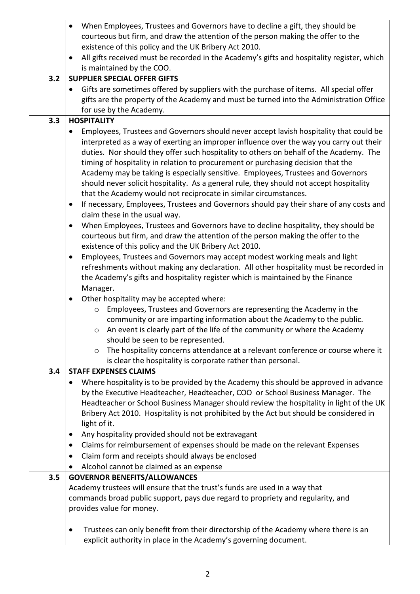|     | When Employees, Trustees and Governors have to decline a gift, they should be                                                                                             |  |  |
|-----|---------------------------------------------------------------------------------------------------------------------------------------------------------------------------|--|--|
|     | courteous but firm, and draw the attention of the person making the offer to the                                                                                          |  |  |
|     | existence of this policy and the UK Bribery Act 2010.                                                                                                                     |  |  |
|     | All gifts received must be recorded in the Academy's gifts and hospitality register, which                                                                                |  |  |
|     | is maintained by the COO.                                                                                                                                                 |  |  |
| 3.2 | <b>SUPPLIER SPECIAL OFFER GIFTS</b>                                                                                                                                       |  |  |
|     | Gifts are sometimes offered by suppliers with the purchase of items. All special offer                                                                                    |  |  |
|     | gifts are the property of the Academy and must be turned into the Administration Office                                                                                   |  |  |
|     | for use by the Academy.                                                                                                                                                   |  |  |
| 3.3 | <b>HOSPITALITY</b>                                                                                                                                                        |  |  |
|     | Employees, Trustees and Governors should never accept lavish hospitality that could be                                                                                    |  |  |
|     | interpreted as a way of exerting an improper influence over the way you carry out their                                                                                   |  |  |
|     | duties. Nor should they offer such hospitality to others on behalf of the Academy. The                                                                                    |  |  |
|     | timing of hospitality in relation to procurement or purchasing decision that the                                                                                          |  |  |
|     | Academy may be taking is especially sensitive. Employees, Trustees and Governors                                                                                          |  |  |
|     | should never solicit hospitality. As a general rule, they should not accept hospitality                                                                                   |  |  |
|     | that the Academy would not reciprocate in similar circumstances.<br>If necessary, Employees, Trustees and Governors should pay their share of any costs and               |  |  |
|     | $\bullet$<br>claim these in the usual way.                                                                                                                                |  |  |
|     | When Employees, Trustees and Governors have to decline hospitality, they should be<br>$\bullet$                                                                           |  |  |
|     | courteous but firm, and draw the attention of the person making the offer to the                                                                                          |  |  |
|     | existence of this policy and the UK Bribery Act 2010.                                                                                                                     |  |  |
|     | Employees, Trustees and Governors may accept modest working meals and light<br>$\bullet$                                                                                  |  |  |
|     | refreshments without making any declaration. All other hospitality must be recorded in                                                                                    |  |  |
|     | the Academy's gifts and hospitality register which is maintained by the Finance                                                                                           |  |  |
|     | Manager.                                                                                                                                                                  |  |  |
|     | Other hospitality may be accepted where:<br>$\bullet$                                                                                                                     |  |  |
|     | Employees, Trustees and Governors are representing the Academy in the<br>$\circ$                                                                                          |  |  |
|     | community or are imparting information about the Academy to the public.                                                                                                   |  |  |
|     | An event is clearly part of the life of the community or where the Academy<br>$\circ$                                                                                     |  |  |
|     | should be seen to be represented.                                                                                                                                         |  |  |
|     | The hospitality concerns attendance at a relevant conference or course where it<br>$\circ$                                                                                |  |  |
|     | is clear the hospitality is corporate rather than personal.                                                                                                               |  |  |
| 3.4 | <b>STAFF EXPENSES CLAIMS</b>                                                                                                                                              |  |  |
|     | Where hospitality is to be provided by the Academy this should be approved in advance                                                                                     |  |  |
|     | by the Executive Headteacher, Headteacher, COO or School Business Manager. The<br>Headteacher or School Business Manager should review the hospitality in light of the UK |  |  |
|     |                                                                                                                                                                           |  |  |
|     | Bribery Act 2010. Hospitality is not prohibited by the Act but should be considered in<br>light of it.                                                                    |  |  |
|     | Any hospitality provided should not be extravagant                                                                                                                        |  |  |
|     | Claims for reimbursement of expenses should be made on the relevant Expenses<br>$\bullet$                                                                                 |  |  |
|     | Claim form and receipts should always be enclosed<br>$\bullet$                                                                                                            |  |  |
|     | Alcohol cannot be claimed as an expense<br>$\bullet$                                                                                                                      |  |  |
| 3.5 | <b>GOVERNOR BENEFITS/ALLOWANCES</b>                                                                                                                                       |  |  |
|     | Academy trustees will ensure that the trust's funds are used in a way that                                                                                                |  |  |
|     | commands broad public support, pays due regard to propriety and regularity, and                                                                                           |  |  |
|     | provides value for money.                                                                                                                                                 |  |  |
|     |                                                                                                                                                                           |  |  |
|     | Trustees can only benefit from their directorship of the Academy where there is an<br>$\bullet$                                                                           |  |  |
|     | explicit authority in place in the Academy's governing document.                                                                                                          |  |  |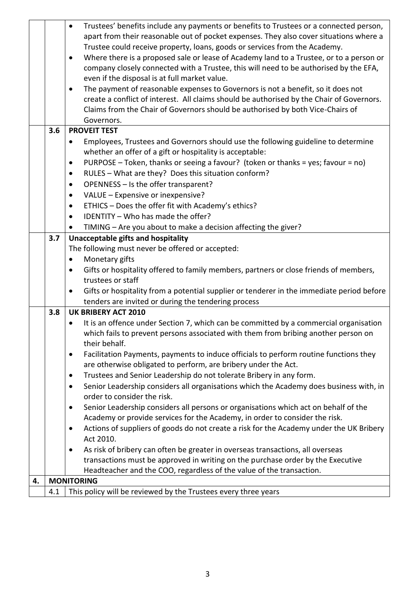|    |                                                                                                      | Trustees' benefits include any payments or benefits to Trustees or a connected person,<br>$\bullet$    |  |  |  |
|----|------------------------------------------------------------------------------------------------------|--------------------------------------------------------------------------------------------------------|--|--|--|
|    |                                                                                                      | apart from their reasonable out of pocket expenses. They also cover situations where a                 |  |  |  |
|    | Trustee could receive property, loans, goods or services from the Academy.                           |                                                                                                        |  |  |  |
|    | Where there is a proposed sale or lease of Academy land to a Trustee, or to a person or<br>$\bullet$ |                                                                                                        |  |  |  |
|    | company closely connected with a Trustee, this will need to be authorised by the EFA,                |                                                                                                        |  |  |  |
|    |                                                                                                      | even if the disposal is at full market value.                                                          |  |  |  |
|    |                                                                                                      | The payment of reasonable expenses to Governors is not a benefit, so it does not<br>$\bullet$          |  |  |  |
|    |                                                                                                      | create a conflict of interest. All claims should be authorised by the Chair of Governors.              |  |  |  |
|    |                                                                                                      | Claims from the Chair of Governors should be authorised by both Vice-Chairs of                         |  |  |  |
|    |                                                                                                      | Governors.                                                                                             |  |  |  |
|    | 3.6                                                                                                  | <b>PROVEIT TEST</b>                                                                                    |  |  |  |
|    |                                                                                                      | Employees, Trustees and Governors should use the following guideline to determine<br>$\bullet$         |  |  |  |
|    |                                                                                                      | whether an offer of a gift or hospitality is acceptable:                                               |  |  |  |
|    |                                                                                                      | PURPOSE - Token, thanks or seeing a favour? (token or thanks = yes; favour = no)<br>$\bullet$          |  |  |  |
|    |                                                                                                      | RULES - What are they? Does this situation conform?<br>$\bullet$                                       |  |  |  |
|    |                                                                                                      |                                                                                                        |  |  |  |
|    |                                                                                                      | OPENNESS - Is the offer transparent?<br>$\bullet$                                                      |  |  |  |
|    |                                                                                                      | VALUE - Expensive or inexpensive?<br>$\bullet$                                                         |  |  |  |
|    |                                                                                                      | ETHICS - Does the offer fit with Academy's ethics?<br>$\bullet$                                        |  |  |  |
|    |                                                                                                      | IDENTITY - Who has made the offer?<br>$\bullet$                                                        |  |  |  |
|    |                                                                                                      | TIMING - Are you about to make a decision affecting the giver?                                         |  |  |  |
|    | 3.7                                                                                                  | Unacceptable gifts and hospitality                                                                     |  |  |  |
|    |                                                                                                      | The following must never be offered or accepted:                                                       |  |  |  |
|    |                                                                                                      | Monetary gifts                                                                                         |  |  |  |
|    |                                                                                                      | Gifts or hospitality offered to family members, partners or close friends of members,                  |  |  |  |
|    |                                                                                                      | trustees or staff                                                                                      |  |  |  |
|    |                                                                                                      | Gifts or hospitality from a potential supplier or tenderer in the immediate period before<br>$\bullet$ |  |  |  |
|    | tenders are invited or during the tendering process                                                  |                                                                                                        |  |  |  |
|    | 3.8                                                                                                  | <b>UK BRIBERY ACT 2010</b>                                                                             |  |  |  |
|    |                                                                                                      | It is an offence under Section 7, which can be committed by a commercial organisation                  |  |  |  |
|    |                                                                                                      | which fails to prevent persons associated with them from bribing another person on                     |  |  |  |
|    |                                                                                                      | their behalf.                                                                                          |  |  |  |
|    |                                                                                                      | Facilitation Payments, payments to induce officials to perform routine functions they<br>٠             |  |  |  |
|    |                                                                                                      | are otherwise obligated to perform, are bribery under the Act.                                         |  |  |  |
|    |                                                                                                      | Trustees and Senior Leadership do not tolerate Bribery in any form.<br>$\bullet$                       |  |  |  |
|    |                                                                                                      | Senior Leadership considers all organisations which the Academy does business with, in<br>$\bullet$    |  |  |  |
|    |                                                                                                      | order to consider the risk.                                                                            |  |  |  |
|    |                                                                                                      | Senior Leadership considers all persons or organisations which act on behalf of the<br>$\bullet$       |  |  |  |
|    |                                                                                                      | Academy or provide services for the Academy, in order to consider the risk.                            |  |  |  |
|    |                                                                                                      | Actions of suppliers of goods do not create a risk for the Academy under the UK Bribery<br>$\bullet$   |  |  |  |
|    |                                                                                                      | Act 2010.                                                                                              |  |  |  |
|    |                                                                                                      | As risk of bribery can often be greater in overseas transactions, all overseas<br>$\bullet$            |  |  |  |
|    |                                                                                                      | transactions must be approved in writing on the purchase order by the Executive                        |  |  |  |
|    |                                                                                                      | Headteacher and the COO, regardless of the value of the transaction.                                   |  |  |  |
| 4. |                                                                                                      | <b>MONITORING</b>                                                                                      |  |  |  |
|    | 4.1                                                                                                  | This policy will be reviewed by the Trustees every three years                                         |  |  |  |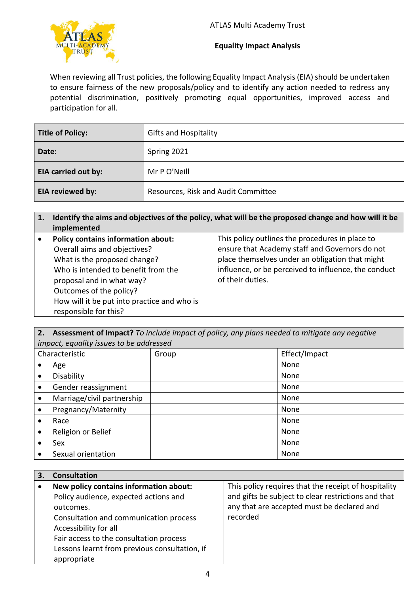

### **Equality Impact Analysis**

When reviewing all Trust policies, the following Equality Impact Analysis (EIA) should be undertaken to ensure fairness of the new proposals/policy and to identify any action needed to redress any potential discrimination, positively promoting equal opportunities, improved access and participation for all.

| <b>Title of Policy:</b>    | <b>Gifts and Hospitality</b>        |
|----------------------------|-------------------------------------|
| Date:                      | Spring 2021                         |
| <b>EIA carried out by:</b> | Mr P O'Neill                        |
| EIA reviewed by:           | Resources, Risk and Audit Committee |

## **1. Identify the aims and objectives of the policy, what will be the proposed change and how will it be implemented**

| $\bullet$ | <b>Policy contains information about:</b>   | This policy outlines the procedures in place to      |
|-----------|---------------------------------------------|------------------------------------------------------|
|           | Overall aims and objectives?                | ensure that Academy staff and Governors do not       |
|           | What is the proposed change?                | place themselves under an obligation that might      |
|           | Who is intended to benefit from the         | influence, or be perceived to influence, the conduct |
|           | proposal and in what way?                   | of their duties.                                     |
|           | Outcomes of the policy?                     |                                                      |
|           | How will it be put into practice and who is |                                                      |
|           | responsible for this?                       |                                                      |

**2. Assessment of Impact?** *To include impact of policy, any plans needed to mitigate any negative impact, equality issues to be addressed*

| mpact, equality issues to be additioned |                            |       |               |  |
|-----------------------------------------|----------------------------|-------|---------------|--|
| Characteristic                          |                            | Group | Effect/Impact |  |
|                                         | Age                        |       | None          |  |
|                                         | Disability                 |       | None          |  |
| $\bullet$                               | Gender reassignment        |       | None          |  |
|                                         | Marriage/civil partnership |       | None          |  |
|                                         | Pregnancy/Maternity        |       | None          |  |
|                                         | Race                       |       | None          |  |
|                                         | Religion or Belief         |       | None          |  |
|                                         | Sex                        |       | None          |  |
|                                         | Sexual orientation         |       | None          |  |

| <b>Consultation</b>                           |                                                      |
|-----------------------------------------------|------------------------------------------------------|
| New policy contains information about:        | This policy requires that the receipt of hospitality |
| Policy audience, expected actions and         | and gifts be subject to clear restrictions and that  |
| outcomes.                                     | any that are accepted must be declared and           |
| Consultation and communication process        | recorded                                             |
| Accessibility for all                         |                                                      |
| Fair access to the consultation process       |                                                      |
| Lessons learnt from previous consultation, if |                                                      |
| appropriate                                   |                                                      |